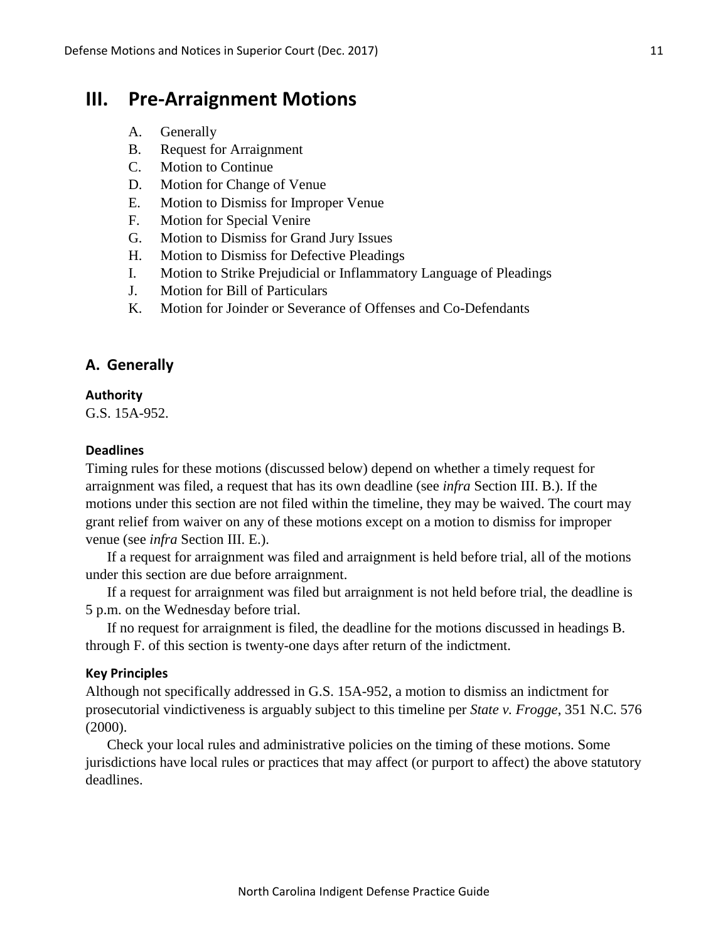# **III. Pre-Arraignment Motions**

- A. Generally
- B. Request for Arraignment
- C. Motion to Continue
- D. Motion for Change of Venue
- E. Motion to Dismiss for Improper Venue
- F. Motion for Special Venire
- G. Motion to Dismiss for Grand Jury Issues
- H. Motion to Dismiss for Defective Pleadings
- I. Motion to Strike Prejudicial or Inflammatory Language of Pleadings
- J. Motion for Bill of Particulars
- K. Motion for Joinder or Severance of Offenses and Co-Defendants

## **A. Generally**

#### **Authority**

G.S. 15A-952.

### **Deadlines**

Timing rules for these motions (discussed below) depend on whether a timely request for arraignment was filed, a request that has its own deadline (see *infra* Section III. B.). If the motions under this section are not filed within the timeline, they may be waived. The court may grant relief from waiver on any of these motions except on a motion to dismiss for improper venue (see *infra* Section III. E.).

If a request for arraignment was filed and arraignment is held before trial, all of the motions under this section are due before arraignment.

If a request for arraignment was filed but arraignment is not held before trial, the deadline is 5 p.m. on the Wednesday before trial.

If no request for arraignment is filed, the deadline for the motions discussed in headings B. through F. of this section is twenty-one days after return of the indictment.

## **Key Principles**

Although not specifically addressed in G.S. 15A-952, a motion to dismiss an indictment for prosecutorial vindictiveness is arguably subject to this timeline per *State v. Frogge*, 351 N.C. 576 (2000).

Check your local rules and administrative policies on the timing of these motions. Some jurisdictions have local rules or practices that may affect (or purport to affect) the above statutory deadlines.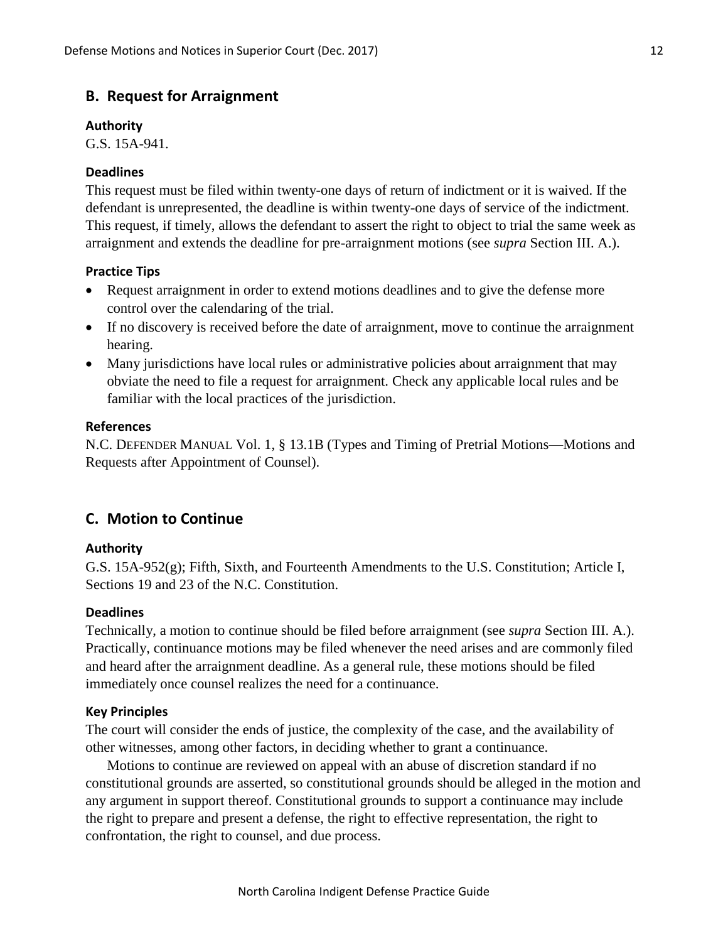## **B. Request for Arraignment**

#### **Authority**

G.S. 15A-941.

### **Deadlines**

This request must be filed within twenty-one days of return of indictment or it is waived. If the defendant is unrepresented, the deadline is within twenty-one days of service of the indictment. This request, if timely, allows the defendant to assert the right to object to trial the same week as arraignment and extends the deadline for pre-arraignment motions (see *supra* Section III. A.).

#### **Practice Tips**

- Request arraignment in order to extend motions deadlines and to give the defense more control over the calendaring of the trial.
- If no discovery is received before the date of arraignment, move to continue the arraignment hearing.
- Many jurisdictions have local rules or administrative policies about arraignment that may obviate the need to file a request for arraignment. Check any applicable local rules and be familiar with the local practices of the jurisdiction.

#### **References**

N.C. DEFENDER MANUAL Vol. 1, § 13.1B (Types and Timing of Pretrial Motions—Motions and Requests after Appointment of Counsel).

## **C. Motion to Continue**

#### **Authority**

G.S. 15A-952(g); Fifth, Sixth, and Fourteenth Amendments to the U.S. Constitution; Article I, Sections 19 and 23 of the N.C. Constitution.

#### **Deadlines**

Technically, a motion to continue should be filed before arraignment (see *supra* Section III. A.). Practically, continuance motions may be filed whenever the need arises and are commonly filed and heard after the arraignment deadline. As a general rule, these motions should be filed immediately once counsel realizes the need for a continuance.

#### **Key Principles**

The court will consider the ends of justice, the complexity of the case, and the availability of other witnesses, among other factors, in deciding whether to grant a continuance.

Motions to continue are reviewed on appeal with an abuse of discretion standard if no constitutional grounds are asserted, so constitutional grounds should be alleged in the motion and any argument in support thereof. Constitutional grounds to support a continuance may include the right to prepare and present a defense, the right to effective representation, the right to confrontation, the right to counsel, and due process.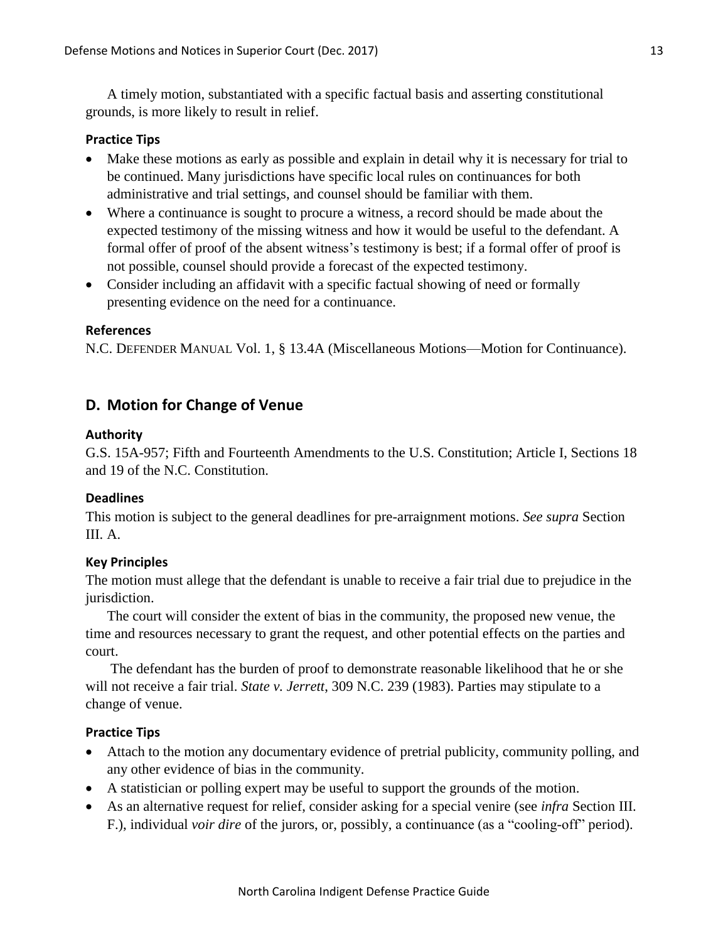A timely motion, substantiated with a specific factual basis and asserting constitutional grounds, is more likely to result in relief.

## **Practice Tips**

- Make these motions as early as possible and explain in detail why it is necessary for trial to be continued. Many jurisdictions have specific local rules on continuances for both administrative and trial settings, and counsel should be familiar with them.
- Where a continuance is sought to procure a witness, a record should be made about the expected testimony of the missing witness and how it would be useful to the defendant. A formal offer of proof of the absent witness's testimony is best; if a formal offer of proof is not possible, counsel should provide a forecast of the expected testimony.
- Consider including an affidavit with a specific factual showing of need or formally presenting evidence on the need for a continuance.

### **References**

N.C. DEFENDER MANUAL Vol. 1, § 13.4A (Miscellaneous Motions—Motion for Continuance).

## **D. Motion for Change of Venue**

### **Authority**

G.S. 15A-957; Fifth and Fourteenth Amendments to the U.S. Constitution; Article I, Sections 18 and 19 of the N.C. Constitution.

### **Deadlines**

This motion is subject to the general deadlines for pre-arraignment motions. *See supra* Section III. A.

## **Key Principles**

The motion must allege that the defendant is unable to receive a fair trial due to prejudice in the jurisdiction.

The court will consider the extent of bias in the community, the proposed new venue, the time and resources necessary to grant the request, and other potential effects on the parties and court.

The defendant has the burden of proof to demonstrate reasonable likelihood that he or she will not receive a fair trial. *State v. Jerrett*, 309 N.C. 239 (1983). Parties may stipulate to a change of venue.

- Attach to the motion any documentary evidence of pretrial publicity, community polling, and any other evidence of bias in the community.
- A statistician or polling expert may be useful to support the grounds of the motion.
- As an alternative request for relief, consider asking for a special venire (see *infra* Section III. F.), individual *voir dire* of the jurors, or, possibly, a continuance (as a "cooling-off" period).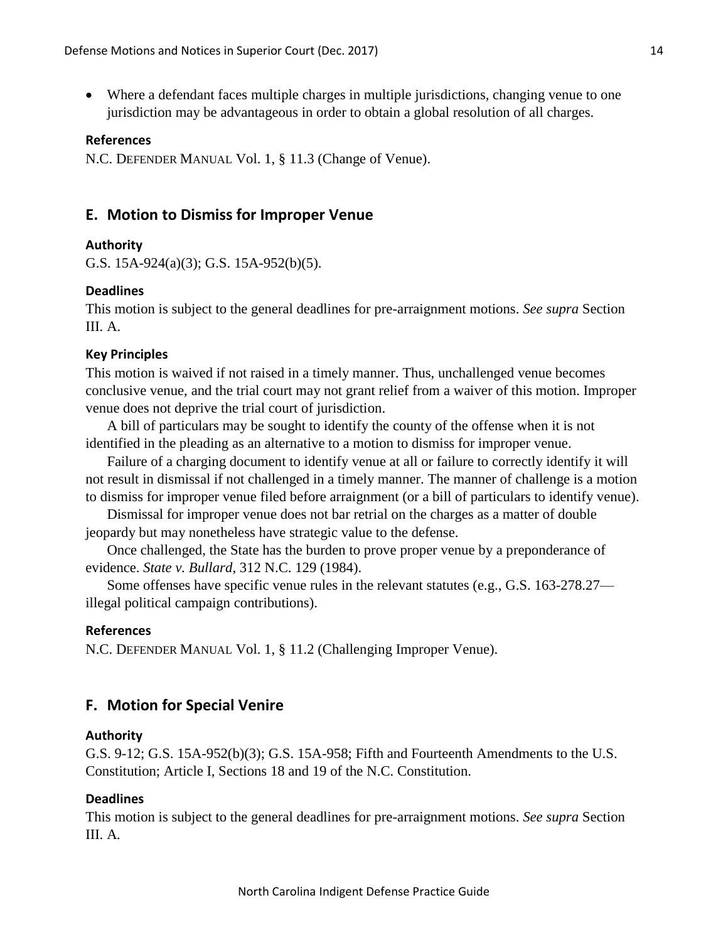Where a defendant faces multiple charges in multiple jurisdictions, changing venue to one jurisdiction may be advantageous in order to obtain a global resolution of all charges.

#### **References**

N.C. DEFENDER MANUAL Vol. 1, § 11.3 (Change of Venue).

## **E. Motion to Dismiss for Improper Venue**

#### **Authority**

G.S. 15A-924(a)(3); G.S. 15A-952(b)(5).

#### **Deadlines**

This motion is subject to the general deadlines for pre-arraignment motions. *See supra* Section III. A.

#### **Key Principles**

This motion is waived if not raised in a timely manner. Thus, unchallenged venue becomes conclusive venue, and the trial court may not grant relief from a waiver of this motion. Improper venue does not deprive the trial court of jurisdiction.

A bill of particulars may be sought to identify the county of the offense when it is not identified in the pleading as an alternative to a motion to dismiss for improper venue.

Failure of a charging document to identify venue at all or failure to correctly identify it will not result in dismissal if not challenged in a timely manner. The manner of challenge is a motion to dismiss for improper venue filed before arraignment (or a bill of particulars to identify venue).

Dismissal for improper venue does not bar retrial on the charges as a matter of double jeopardy but may nonetheless have strategic value to the defense.

Once challenged, the State has the burden to prove proper venue by a preponderance of evidence. *State v. Bullard*, 312 N.C. 129 (1984).

Some offenses have specific venue rules in the relevant statutes (e.g., G.S. 163-278.27 illegal political campaign contributions).

#### **References**

N.C. DEFENDER MANUAL Vol. 1, § 11.2 (Challenging Improper Venue).

## **F. Motion for Special Venire**

#### **Authority**

G.S. 9-12; G.S. 15A-952(b)(3); G.S. 15A-958; Fifth and Fourteenth Amendments to the U.S. Constitution; Article I, Sections 18 and 19 of the N.C. Constitution.

#### **Deadlines**

This motion is subject to the general deadlines for pre-arraignment motions. *See supra* Section III. A*.*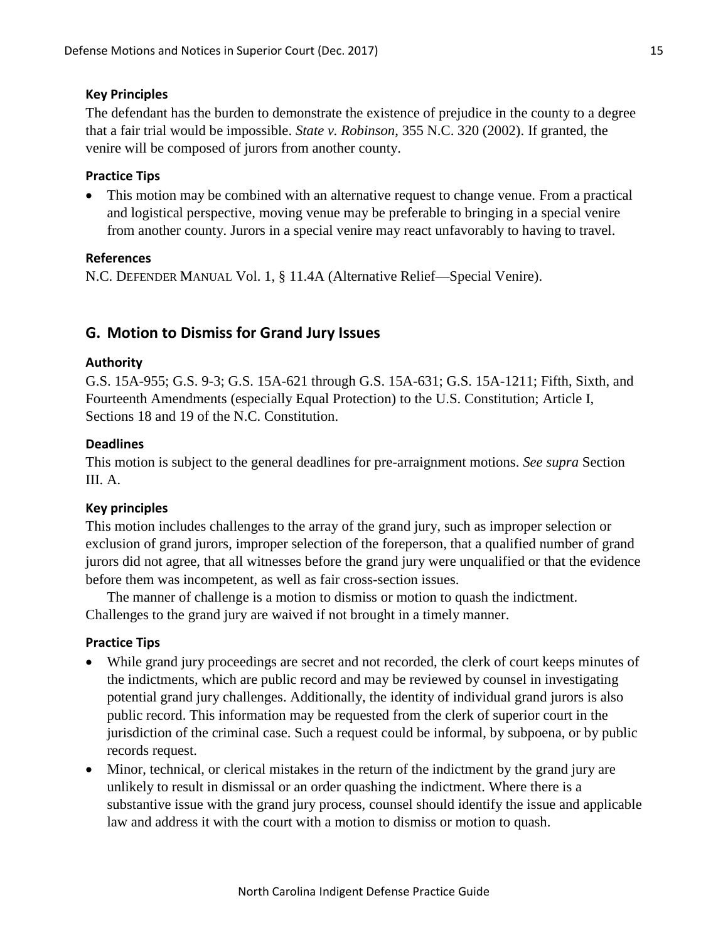## **Key Principles**

The defendant has the burden to demonstrate the existence of prejudice in the county to a degree that a fair trial would be impossible. *State v. Robinson*, 355 N.C. 320 (2002). If granted, the venire will be composed of jurors from another county.

## **Practice Tips**

• This motion may be combined with an alternative request to change venue. From a practical and logistical perspective, moving venue may be preferable to bringing in a special venire from another county. Jurors in a special venire may react unfavorably to having to travel.

### **References**

N.C. DEFENDER MANUAL Vol. 1, § 11.4A (Alternative Relief—Special Venire).

## **G. Motion to Dismiss for Grand Jury Issues**

### **Authority**

G.S. 15A-955; G.S. 9-3; G.S. 15A-621 through G.S. 15A-631; G.S. 15A-1211; Fifth, Sixth, and Fourteenth Amendments (especially Equal Protection) to the U.S. Constitution; Article I, Sections 18 and 19 of the N.C. Constitution.

### **Deadlines**

This motion is subject to the general deadlines for pre-arraignment motions. *See supra* Section III. A.

### **Key principles**

This motion includes challenges to the array of the grand jury, such as improper selection or exclusion of grand jurors, improper selection of the foreperson, that a qualified number of grand jurors did not agree, that all witnesses before the grand jury were unqualified or that the evidence before them was incompetent, as well as fair cross-section issues.

The manner of challenge is a motion to dismiss or motion to quash the indictment. Challenges to the grand jury are waived if not brought in a timely manner.

- While grand jury proceedings are secret and not recorded, the clerk of court keeps minutes of the indictments, which are public record and may be reviewed by counsel in investigating potential grand jury challenges. Additionally, the identity of individual grand jurors is also public record. This information may be requested from the clerk of superior court in the jurisdiction of the criminal case. Such a request could be informal, by subpoena, or by public records request.
- Minor, technical, or clerical mistakes in the return of the indictment by the grand jury are unlikely to result in dismissal or an order quashing the indictment. Where there is a substantive issue with the grand jury process, counsel should identify the issue and applicable law and address it with the court with a motion to dismiss or motion to quash.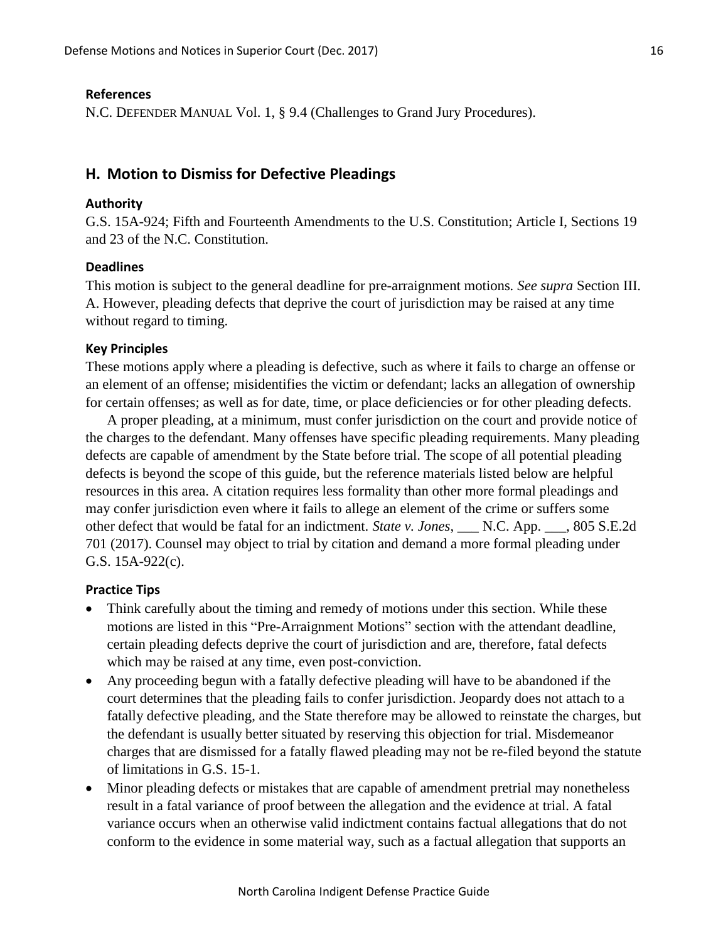#### **References**

N.C. DEFENDER MANUAL Vol. 1, § 9.4 (Challenges to Grand Jury Procedures).

## **H. Motion to Dismiss for Defective Pleadings**

#### **Authority**

G.S. 15A-924; Fifth and Fourteenth Amendments to the U.S. Constitution; Article I, Sections 19 and 23 of the N.C. Constitution.

### **Deadlines**

This motion is subject to the general deadline for pre-arraignment motions*. See supra* Section III. A. However, pleading defects that deprive the court of jurisdiction may be raised at any time without regard to timing.

#### **Key Principles**

These motions apply where a pleading is defective, such as where it fails to charge an offense or an element of an offense; misidentifies the victim or defendant; lacks an allegation of ownership for certain offenses; as well as for date, time, or place deficiencies or for other pleading defects.

A proper pleading, at a minimum, must confer jurisdiction on the court and provide notice of the charges to the defendant. Many offenses have specific pleading requirements. Many pleading defects are capable of amendment by the State before trial. The scope of all potential pleading defects is beyond the scope of this guide, but the reference materials listed below are helpful resources in this area. A citation requires less formality than other more formal pleadings and may confer jurisdiction even where it fails to allege an element of the crime or suffers some other defect that would be fatal for an indictment. *State v. Jones*, \_\_\_ N.C. App. \_\_\_, 805 S.E.2d 701 (2017). Counsel may object to trial by citation and demand a more formal pleading under G.S. 15A-922(c).

- Think carefully about the timing and remedy of motions under this section. While these motions are listed in this "Pre-Arraignment Motions" section with the attendant deadline, certain pleading defects deprive the court of jurisdiction and are, therefore, fatal defects which may be raised at any time, even post-conviction.
- Any proceeding begun with a fatally defective pleading will have to be abandoned if the court determines that the pleading fails to confer jurisdiction. Jeopardy does not attach to a fatally defective pleading, and the State therefore may be allowed to reinstate the charges, but the defendant is usually better situated by reserving this objection for trial. Misdemeanor charges that are dismissed for a fatally flawed pleading may not be re-filed beyond the statute of limitations in G.S. 15-1.
- Minor pleading defects or mistakes that are capable of amendment pretrial may nonetheless result in a fatal variance of proof between the allegation and the evidence at trial. A fatal variance occurs when an otherwise valid indictment contains factual allegations that do not conform to the evidence in some material way, such as a factual allegation that supports an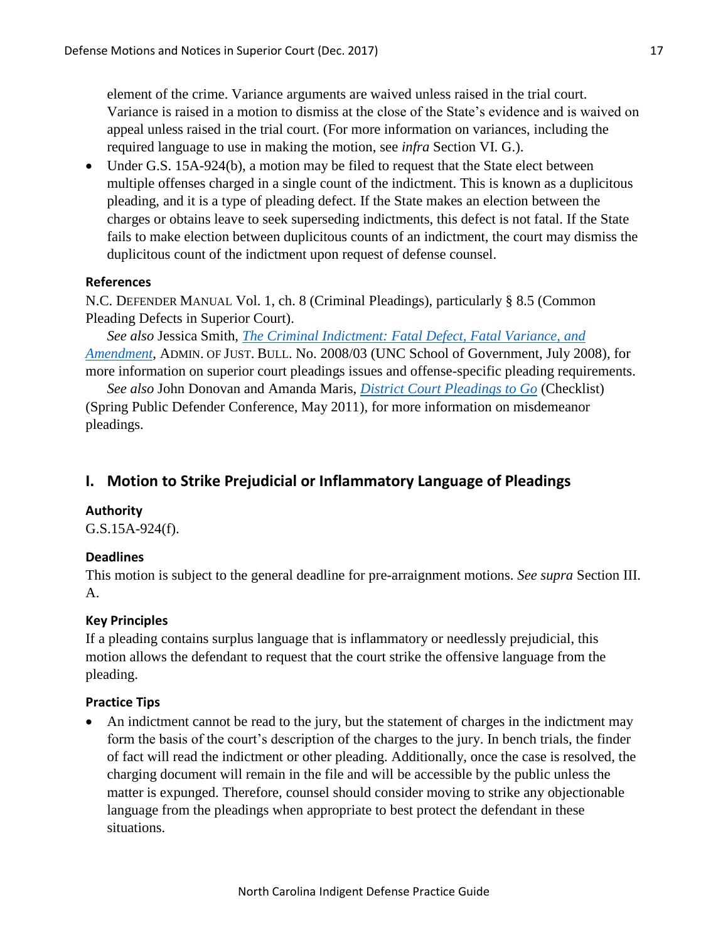element of the crime. Variance arguments are waived unless raised in the trial court. Variance is raised in a motion to dismiss at the close of the State's evidence and is waived on appeal unless raised in the trial court. (For more information on variances, including the required language to use in making the motion, see *infra* Section VI. G.).

• Under G.S. 15A-924(b), a motion may be filed to request that the State elect between multiple offenses charged in a single count of the indictment. This is known as a duplicitous pleading, and it is a type of pleading defect. If the State makes an election between the charges or obtains leave to seek superseding indictments, this defect is not fatal. If the State fails to make election between duplicitous counts of an indictment, the court may dismiss the duplicitous count of the indictment upon request of defense counsel.

## **References**

N.C. DEFENDER MANUAL Vol. 1, ch. 8 (Criminal Pleadings), particularly § 8.5 (Common Pleading Defects in Superior Court).

*See also* Jessica Smith, *[The Criminal Indictment: Fatal Defect, Fatal Variance, and](http://sogpubs.unc.edu/electronicversions/pdfs/aojb0803.pdf)  [Amendment](http://sogpubs.unc.edu/electronicversions/pdfs/aojb0803.pdf)*, ADMIN. OF JUST. BULL. No. 2008/03 (UNC School of Government, July 2008), for more information on superior court pleadings issues and offense-specific pleading requirements.

*See also* John Donovan and Amanda Maris, *[District Court Pleadings to Go](http://www.ncids.org/Defender%20Training/2011SpringConference/DistrictCourtPleadings.pdf)* (Checklist) (Spring Public Defender Conference, May 2011), for more information on misdemeanor pleadings.

## **I. Motion to Strike Prejudicial or Inflammatory Language of Pleadings**

### **Authority**

G.S.15A-924(f).

## **Deadlines**

This motion is subject to the general deadline for pre-arraignment motions. *See supra* Section III. A.

### **Key Principles**

If a pleading contains surplus language that is inflammatory or needlessly prejudicial, this motion allows the defendant to request that the court strike the offensive language from the pleading.

## **Practice Tips**

 An indictment cannot be read to the jury, but the statement of charges in the indictment may form the basis of the court's description of the charges to the jury. In bench trials, the finder of fact will read the indictment or other pleading. Additionally, once the case is resolved, the charging document will remain in the file and will be accessible by the public unless the matter is expunged. Therefore, counsel should consider moving to strike any objectionable language from the pleadings when appropriate to best protect the defendant in these situations.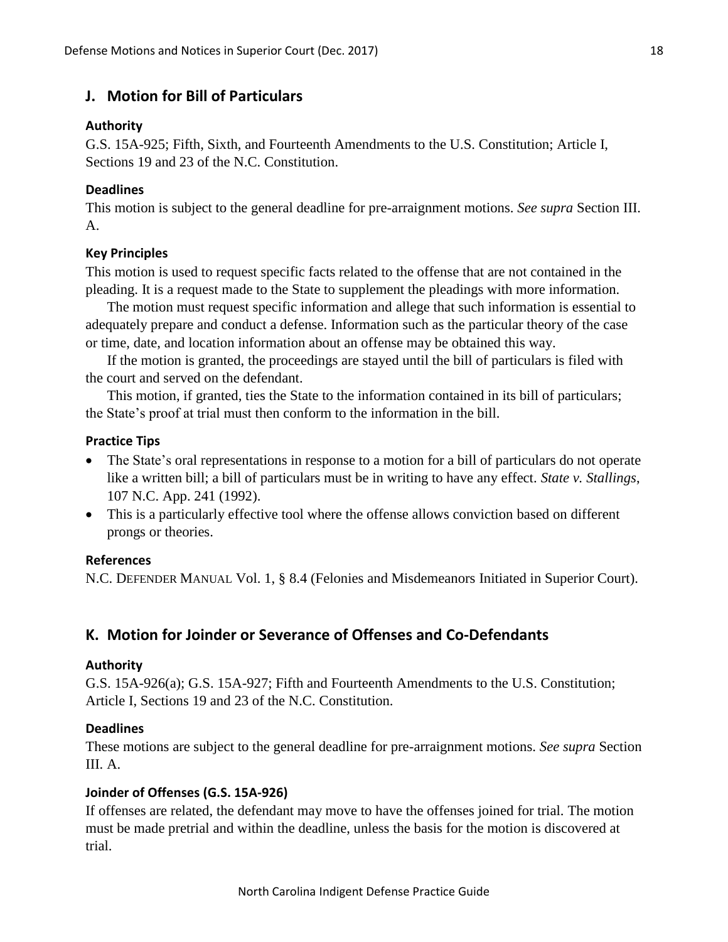## **J. Motion for Bill of Particulars**

## **Authority**

G.S. 15A-925; Fifth, Sixth, and Fourteenth Amendments to the U.S. Constitution; Article I, Sections 19 and 23 of the N.C. Constitution.

## **Deadlines**

This motion is subject to the general deadline for pre-arraignment motions. *See supra* Section III. A.

## **Key Principles**

This motion is used to request specific facts related to the offense that are not contained in the pleading. It is a request made to the State to supplement the pleadings with more information.

The motion must request specific information and allege that such information is essential to adequately prepare and conduct a defense. Information such as the particular theory of the case or time, date, and location information about an offense may be obtained this way.

If the motion is granted, the proceedings are stayed until the bill of particulars is filed with the court and served on the defendant.

This motion, if granted, ties the State to the information contained in its bill of particulars; the State's proof at trial must then conform to the information in the bill.

## **Practice Tips**

- The State's oral representations in response to a motion for a bill of particulars do not operate like a written bill; a bill of particulars must be in writing to have any effect. *State v. Stallings*, 107 N.C. App. 241 (1992).
- This is a particularly effective tool where the offense allows conviction based on different prongs or theories.

## **References**

N.C. DEFENDER MANUAL Vol. 1, § 8.4 (Felonies and Misdemeanors Initiated in Superior Court).

## **K. Motion for Joinder or Severance of Offenses and Co-Defendants**

## **Authority**

G.S. 15A-926(a); G.S. 15A-927; Fifth and Fourteenth Amendments to the U.S. Constitution; Article I, Sections 19 and 23 of the N.C. Constitution.

## **Deadlines**

These motions are subject to the general deadline for pre-arraignment motions. *See supra* Section III. A.

## **Joinder of Offenses (G.S. 15A-926)**

If offenses are related, the defendant may move to have the offenses joined for trial. The motion must be made pretrial and within the deadline, unless the basis for the motion is discovered at trial.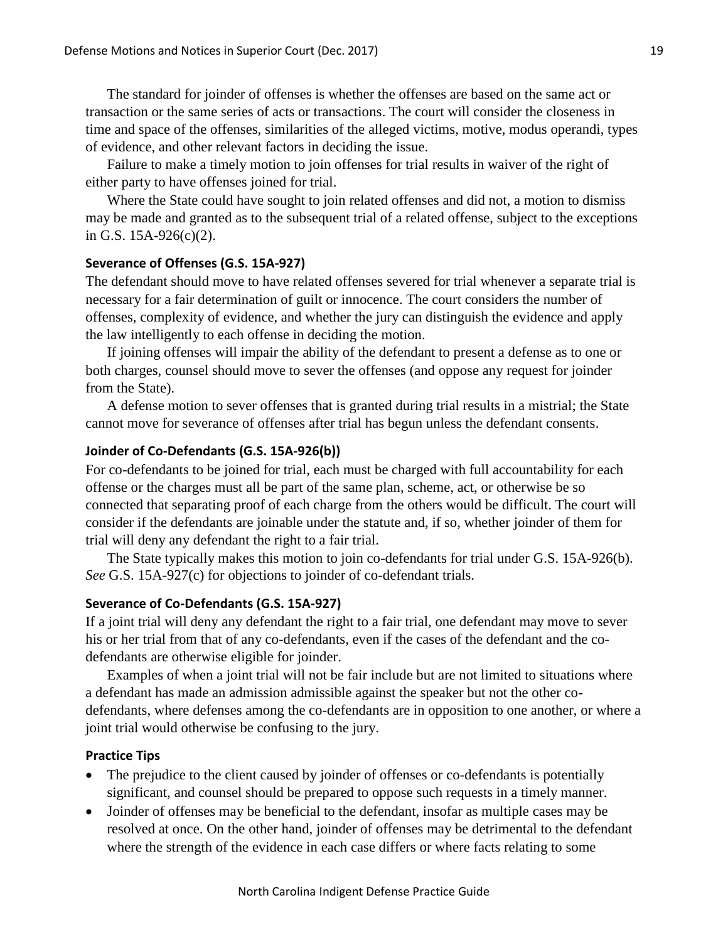The standard for joinder of offenses is whether the offenses are based on the same act or transaction or the same series of acts or transactions. The court will consider the closeness in time and space of the offenses, similarities of the alleged victims, motive, modus operandi, types of evidence, and other relevant factors in deciding the issue.

Failure to make a timely motion to join offenses for trial results in waiver of the right of either party to have offenses joined for trial.

Where the State could have sought to join related offenses and did not, a motion to dismiss may be made and granted as to the subsequent trial of a related offense, subject to the exceptions in G.S. 15A-926(c)(2).

### **Severance of Offenses (G.S. 15A-927)**

The defendant should move to have related offenses severed for trial whenever a separate trial is necessary for a fair determination of guilt or innocence. The court considers the number of offenses, complexity of evidence, and whether the jury can distinguish the evidence and apply the law intelligently to each offense in deciding the motion.

If joining offenses will impair the ability of the defendant to present a defense as to one or both charges, counsel should move to sever the offenses (and oppose any request for joinder from the State).

A defense motion to sever offenses that is granted during trial results in a mistrial; the State cannot move for severance of offenses after trial has begun unless the defendant consents.

### **Joinder of Co-Defendants (G.S. 15A-926(b))**

For co-defendants to be joined for trial, each must be charged with full accountability for each offense or the charges must all be part of the same plan, scheme, act, or otherwise be so connected that separating proof of each charge from the others would be difficult. The court will consider if the defendants are joinable under the statute and, if so, whether joinder of them for trial will deny any defendant the right to a fair trial.

The State typically makes this motion to join co-defendants for trial under G.S. 15A-926(b). *See* G.S. 15A-927(c) for objections to joinder of co-defendant trials.

#### **Severance of Co-Defendants (G.S. 15A-927)**

If a joint trial will deny any defendant the right to a fair trial, one defendant may move to sever his or her trial from that of any co-defendants, even if the cases of the defendant and the codefendants are otherwise eligible for joinder.

Examples of when a joint trial will not be fair include but are not limited to situations where a defendant has made an admission admissible against the speaker but not the other codefendants, where defenses among the co-defendants are in opposition to one another, or where a joint trial would otherwise be confusing to the jury.

- The prejudice to the client caused by joinder of offenses or co-defendants is potentially significant, and counsel should be prepared to oppose such requests in a timely manner.
- Joinder of offenses may be beneficial to the defendant, insofar as multiple cases may be resolved at once. On the other hand, joinder of offenses may be detrimental to the defendant where the strength of the evidence in each case differs or where facts relating to some